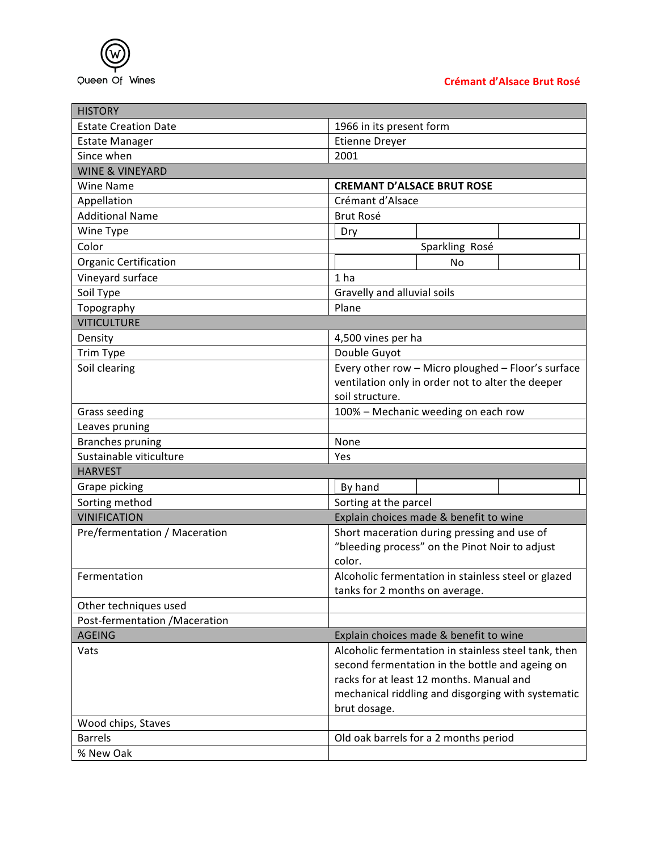

## **Crémant d'Alsace Brut Rosé**

| <b>HISTORY</b>                 |                                                      |
|--------------------------------|------------------------------------------------------|
| <b>Estate Creation Date</b>    | 1966 in its present form                             |
| <b>Estate Manager</b>          | <b>Etienne Dreyer</b>                                |
| Since when                     | 2001                                                 |
| <b>WINE &amp; VINEYARD</b>     |                                                      |
| <b>Wine Name</b>               | <b>CREMANT D'ALSACE BRUT ROSE</b>                    |
| Appellation                    | Crémant d'Alsace                                     |
| <b>Additional Name</b>         | Brut Rosé                                            |
| Wine Type                      | Dry                                                  |
| Color                          | Sparkling Rosé                                       |
| <b>Organic Certification</b>   | No                                                   |
| Vineyard surface               | 1 <sub>ha</sub>                                      |
| Soil Type                      | Gravelly and alluvial soils                          |
| Topography                     | Plane                                                |
| <b>VITICULTURE</b>             |                                                      |
| Density                        | 4,500 vines per ha                                   |
| Trim Type                      | Double Guyot                                         |
| Soil clearing                  | Every other row - Micro ploughed - Floor's surface   |
|                                | ventilation only in order not to alter the deeper    |
|                                | soil structure.                                      |
| <b>Grass seeding</b>           | 100% - Mechanic weeding on each row                  |
| Leaves pruning                 |                                                      |
| <b>Branches pruning</b>        | None                                                 |
| Sustainable viticulture        | Yes                                                  |
| <b>HARVEST</b>                 |                                                      |
| Grape picking                  | By hand                                              |
| Sorting method                 | Sorting at the parcel                                |
| <b>VINIFICATION</b>            | Explain choices made & benefit to wine               |
| Pre/fermentation / Maceration  | Short maceration during pressing and use of          |
|                                | "bleeding process" on the Pinot Noir to adjust       |
|                                | color.                                               |
| Fermentation                   | Alcoholic fermentation in stainless steel or glazed  |
|                                | tanks for 2 months on average.                       |
| Other techniques used          |                                                      |
| Post-fermentation / Maceration |                                                      |
| <b>AGEING</b>                  | Explain choices made & benefit to wine               |
| Vats                           | Alcoholic fermentation in stainless steel tank, then |
|                                | second fermentation in the bottle and ageing on      |
|                                | racks for at least 12 months. Manual and             |
|                                | mechanical riddling and disgorging with systematic   |
|                                | brut dosage.                                         |
| Wood chips, Staves             |                                                      |
| <b>Barrels</b>                 | Old oak barrels for a 2 months period                |
| % New Oak                      |                                                      |